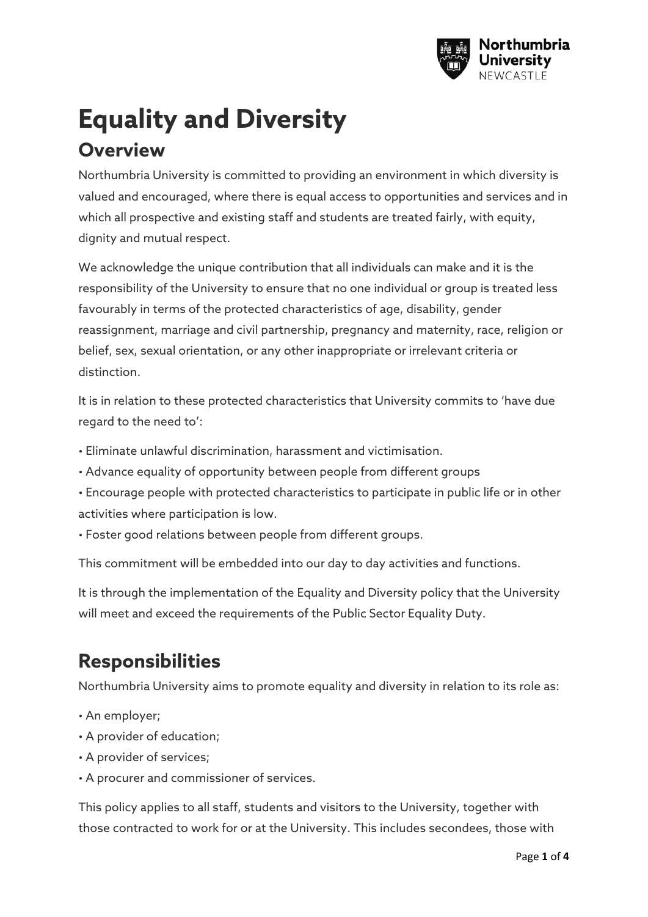

# **Equality and Diversity Overview**

Northumbria University is committed to providing an environment in which diversity is valued and encouraged, where there is equal access to opportunities and services and in which all prospective and existing staff and students are treated fairly, with equity, dignity and mutual respect.

We acknowledge the unique contribution that all individuals can make and it is the responsibility of the University to ensure that no one individual or group is treated less favourably in terms of the protected characteristics of age, disability, gender reassignment, marriage and civil partnership, pregnancy and maternity, race, religion or belief, sex, sexual orientation, or any other inappropriate or irrelevant criteria or distinction.

It is in relation to these protected characteristics that University commits to 'have due regard to the need to':

- Eliminate unlawful discrimination, harassment and victimisation.
- Advance equality of opportunity between people from different groups
- Encourage people with protected characteristics to participate in public life or in other activities where participation is low.
- Foster good relations between people from different groups.

This commitment will be embedded into our day to day activities and functions.

It is through the implementation of the Equality and Diversity policy that the University will meet and exceed the requirements of the Public Sector Equality Duty.

## **Responsibilities**

Northumbria University aims to promote equality and diversity in relation to its role as:

- An employer;
- A provider of education;
- A provider of services;
- A procurer and commissioner of services.

This policy applies to all staff, students and visitors to the University, together with those contracted to work for or at the University. This includes secondees, those with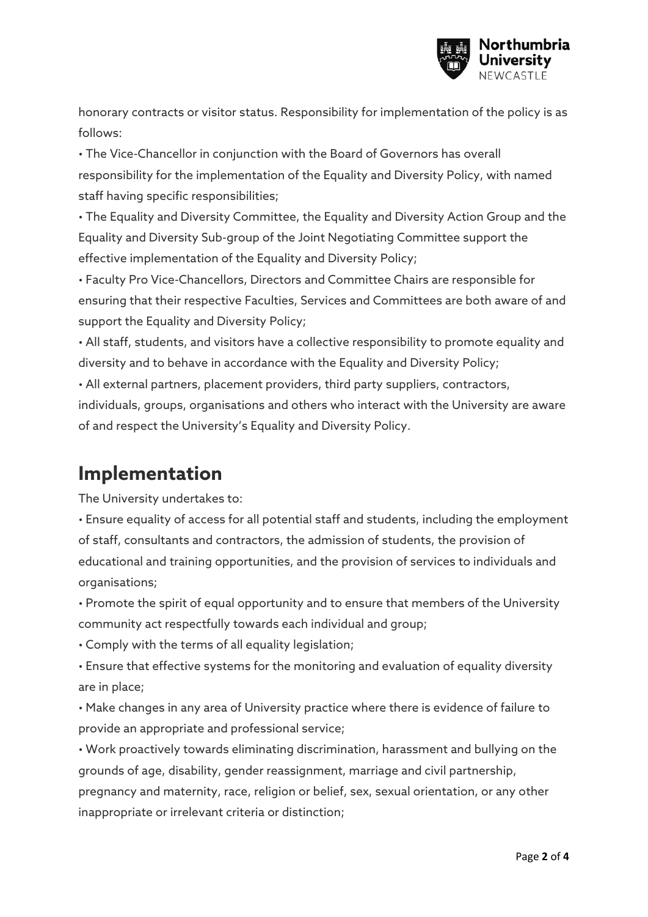

honorary contracts or visitor status. Responsibility for implementation of the policy is as follows:

• The Vice-Chancellor in conjunction with the Board of Governors has overall responsibility for the implementation of the Equality and Diversity Policy, with named staff having specific responsibilities;

• The Equality and Diversity Committee, the Equality and Diversity Action Group and the Equality and Diversity Sub-group of the Joint Negotiating Committee support the effective implementation of the Equality and Diversity Policy;

• Faculty Pro Vice-Chancellors, Directors and Committee Chairs are responsible for ensuring that their respective Faculties, Services and Committees are both aware of and support the Equality and Diversity Policy;

• All staff, students, and visitors have a collective responsibility to promote equality and diversity and to behave in accordance with the Equality and Diversity Policy;

• All external partners, placement providers, third party suppliers, contractors,

individuals, groups, organisations and others who interact with the University are aware of and respect the University's Equality and Diversity Policy.

### **Implementation**

The University undertakes to:

• Ensure equality of access for all potential staff and students, including the employment of staff, consultants and contractors, the admission of students, the provision of educational and training opportunities, and the provision of services to individuals and organisations;

• Promote the spirit of equal opportunity and to ensure that members of the University community act respectfully towards each individual and group;

• Comply with the terms of all equality legislation;

• Ensure that effective systems for the monitoring and evaluation of equality diversity are in place;

• Make changes in any area of University practice where there is evidence of failure to provide an appropriate and professional service;

• Work proactively towards eliminating discrimination, harassment and bullying on the grounds of age, disability, gender reassignment, marriage and civil partnership, pregnancy and maternity, race, religion or belief, sex, sexual orientation, or any other inappropriate or irrelevant criteria or distinction;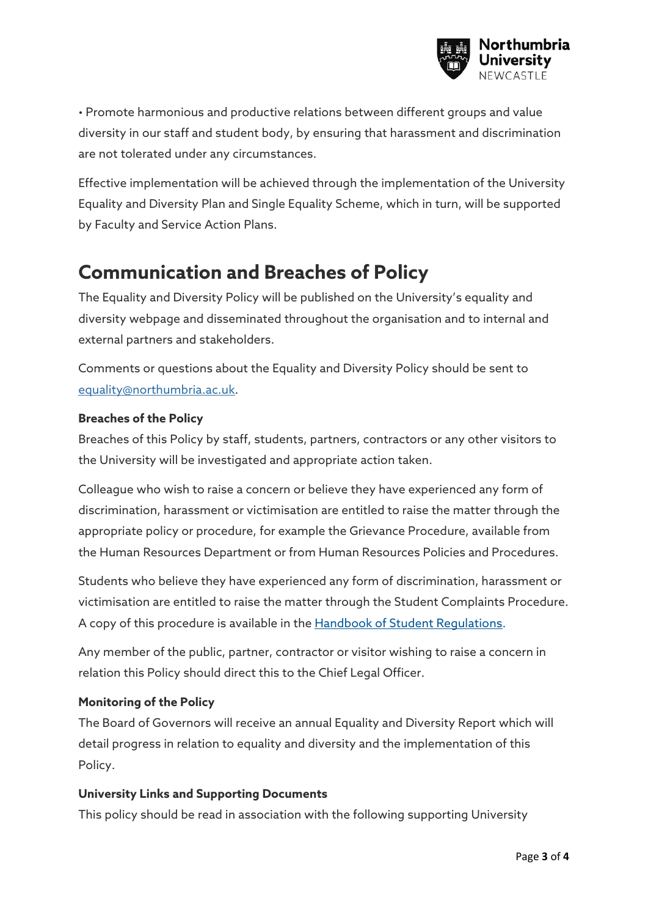

• Promote harmonious and productive relations between different groups and value diversity in our staff and student body, by ensuring that harassment and discrimination are not tolerated under any circumstances.

Effective implementation will be achieved through the implementation of the University Equality and Diversity Plan and Single Equality Scheme, which in turn, will be supported by Faculty and Service Action Plans.

### **Communication and Breaches of Policy**

The Equality and Diversity Policy will be published on the University's equality and diversity webpage and disseminated throughout the organisation and to internal and external partners and stakeholders.

Comments or questions about the Equality and Diversity Policy should be sent to equality@northumbria.ac.uk.

#### **Breaches of the Policy**

Breaches of this Policy by staff, students, partners, contractors or any other visitors to the University will be investigated and appropriate action taken.

Colleague who wish to raise a concern or believe they have experienced any form of discrimination, harassment or victimisation are entitled to raise the matter through the appropriate policy or procedure, for example the Grievance Procedure, available from the Human Resources Department or from Human Resources Policies and Procedures.

Students who believe they have experienced any form of discrimination, harassment or victimisation are entitled to raise the matter through the Student Complaints Procedure. A copy of this procedure is available in the Handbook of Student Regulations.

Any member of the public, partner, contractor or visitor wishing to raise a concern in relation this Policy should direct this to the Chief Legal Officer.

### **Monitoring of the Policy**

The Board of Governors will receive an annual Equality and Diversity Report which will detail progress in relation to equality and diversity and the implementation of this Policy.

### **University Links and Supporting Documents**

This policy should be read in association with the following supporting University